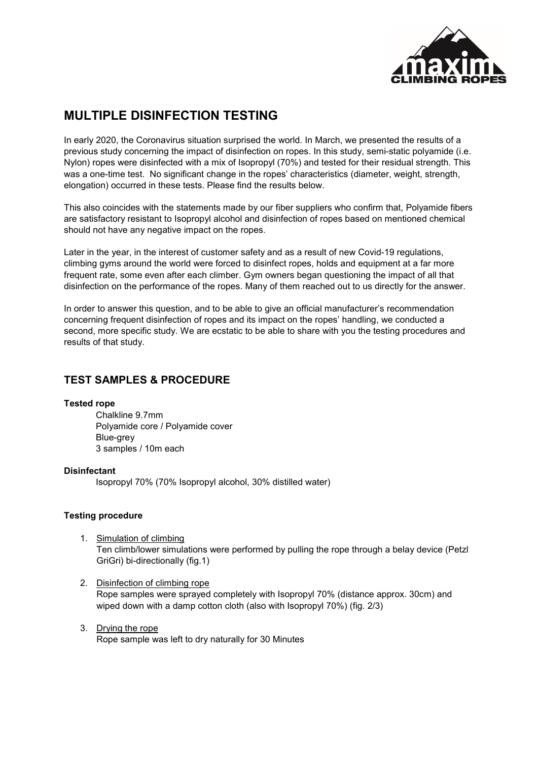

# **MULTIPLE DISINFECTION TESTING**

In early 2020, the Coronavirus situation surprised the world. In March, we presented the results of a previous study concerning the impact of disinfection on ropes. In this study, semi-static polyamide (i.e. Nylon) ropes were disinfected with a mix of Isopropyl (70%) and tested for their residual strength. This was a one-time test. No significant change in the ropes' characteristics (diameter, weight, strength, elongation) occurred in these tests. Please find the results below.

This also coincides with the statements made by our fiber suppliers who confirm that, Polyamide fibers are satisfactory resistant to Isopropyl alcohol and disinfection of ropes based on mentioned chemical should not have any negative impact on the ropes.

Later in the year, in the interest of customer safety and as a result of new Covid-19 regulations, climbing gyms around the world were forced to disinfect ropes, holds and equipment at a far more frequent rate, some even after each climber. Gym owners began questioning the impact of all that disinfection on the performance of the ropes. Many of them reached out to us directly for the answer.

In order to answer this question, and to be able to give an official manufacturer's recommendation concerning frequent disinfection of ropes and its impact on the ropes' handling, we conducted a second, more specific study. We are ecstatic to be able to share with you the testing procedures and results of that study.

## **TEST SAMPLES & PROCEDURE**

#### **Tested rope**

Chalkline 9.7mm Polyamide core / Polyamide cover Blue-grey 3 samples / 10m each

#### **Disinfectant**

Isopropyl 70% (70% Isopropyl alcohol, 30% distilled water)

#### **Testing procedure**

- 1. Simulation of climbing Ten climb/lower simulations were performed by pulling the rope through a belay device (Petzl GriGri) bi-directionally (fig.1)
- 2. Disinfection of climbing rope Rope samples were sprayed completely with Isopropyl 70% (distance approx. 30cm) and wiped down with a damp cotton cloth (also with Isopropyl 70%) (fig. 2/3)
- 3. Drying the rope Rope sample was left to dry naturally for 30 Minutes